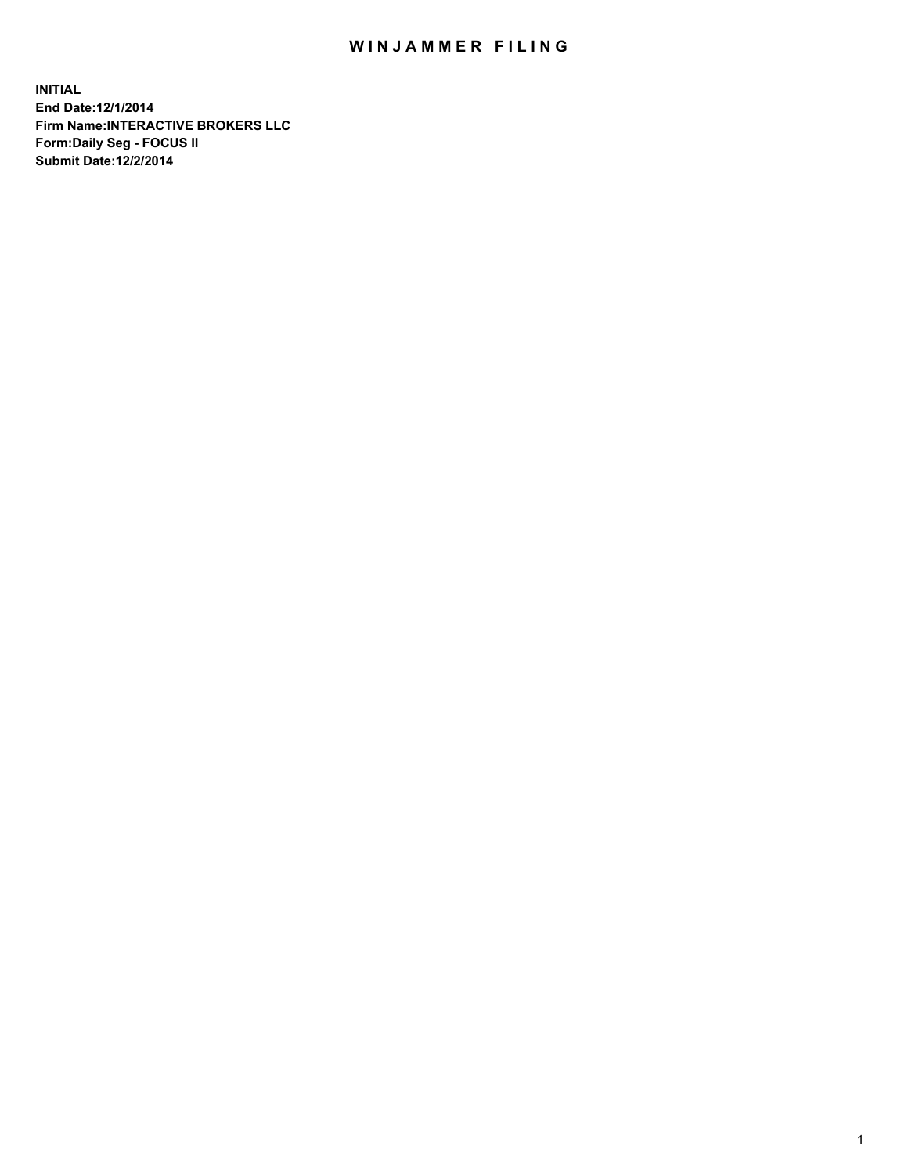## WIN JAMMER FILING

**INITIAL End Date:12/1/2014 Firm Name:INTERACTIVE BROKERS LLC Form:Daily Seg - FOCUS II Submit Date:12/2/2014**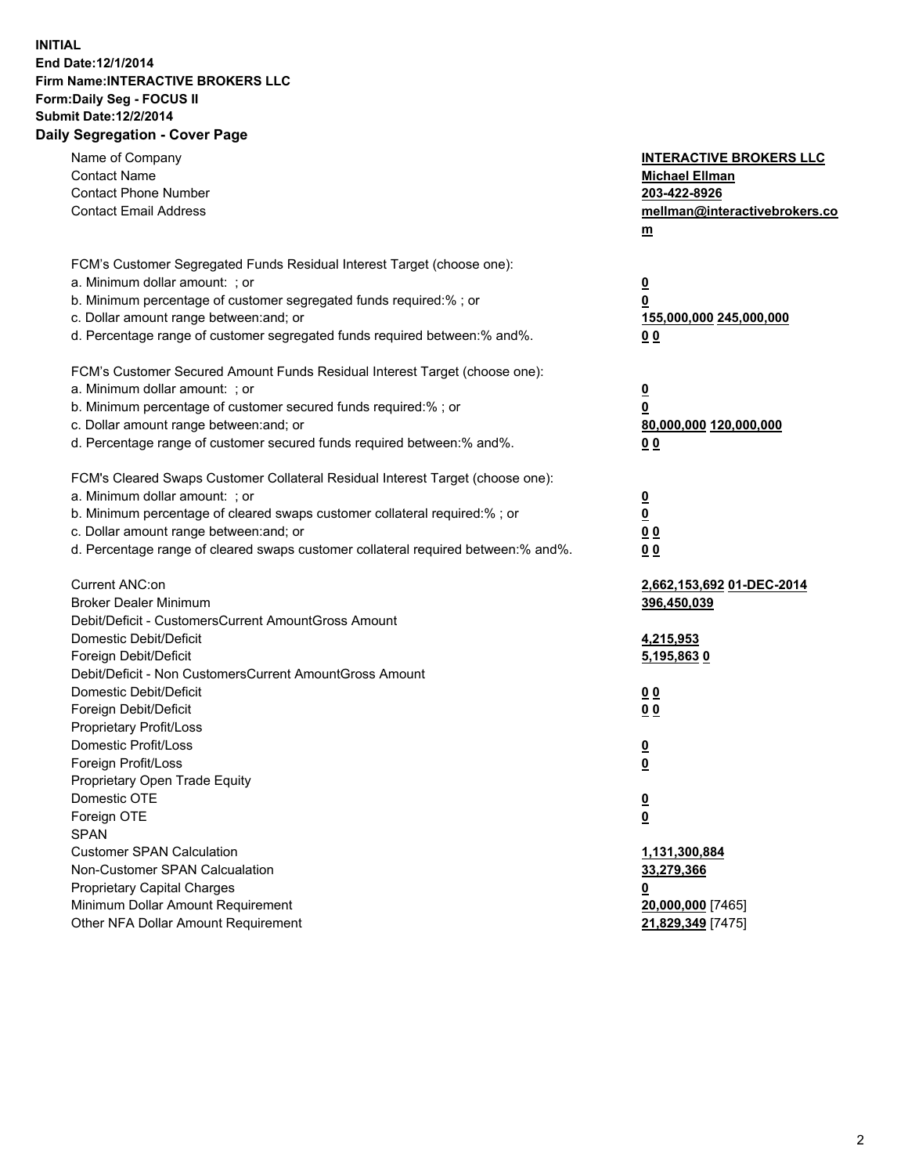## **INITIAL End Date:12/1/2014 Firm Name:INTERACTIVE BROKERS LLC Form:Daily Seg - FOCUS II Submit Date:12/2/2014 Daily Segregation - Cover Page**

| Name of Company<br><b>Contact Name</b><br><b>Contact Phone Number</b><br><b>Contact Email Address</b>                                                                                                                                                                                                                          | <b>INTERACTIVE BROKERS LLC</b><br><b>Michael Ellman</b><br>203-422-8926<br>mellman@interactivebrokers.co<br>$m$ |
|--------------------------------------------------------------------------------------------------------------------------------------------------------------------------------------------------------------------------------------------------------------------------------------------------------------------------------|-----------------------------------------------------------------------------------------------------------------|
| FCM's Customer Segregated Funds Residual Interest Target (choose one):<br>a. Minimum dollar amount: ; or<br>b. Minimum percentage of customer segregated funds required:% ; or<br>c. Dollar amount range between: and; or<br>d. Percentage range of customer segregated funds required between:% and%.                         | $\overline{\mathbf{0}}$<br>0<br>155,000,000 245,000,000<br>0 <sub>0</sub>                                       |
| FCM's Customer Secured Amount Funds Residual Interest Target (choose one):<br>a. Minimum dollar amount: ; or<br>b. Minimum percentage of customer secured funds required:% ; or<br>c. Dollar amount range between: and; or<br>d. Percentage range of customer secured funds required between:% and%.                           | $\overline{\mathbf{0}}$<br>0<br>80,000,000 120,000,000<br>0 <sub>0</sub>                                        |
| FCM's Cleared Swaps Customer Collateral Residual Interest Target (choose one):<br>a. Minimum dollar amount: ; or<br>b. Minimum percentage of cleared swaps customer collateral required:% ; or<br>c. Dollar amount range between: and; or<br>d. Percentage range of cleared swaps customer collateral required between:% and%. | $\overline{\mathbf{0}}$<br>$\underline{\mathbf{0}}$<br>0 <sub>0</sub><br>0 <sub>0</sub>                         |
| Current ANC:on<br><b>Broker Dealer Minimum</b><br>Debit/Deficit - CustomersCurrent AmountGross Amount<br>Domestic Debit/Deficit<br>Foreign Debit/Deficit                                                                                                                                                                       | 2,662,153,692 01-DEC-2014<br>396,450,039<br>4,215,953<br>5,195,8630                                             |
| Debit/Deficit - Non CustomersCurrent AmountGross Amount<br>Domestic Debit/Deficit<br>Foreign Debit/Deficit<br>Proprietary Profit/Loss<br>Domestic Profit/Loss                                                                                                                                                                  | 0 <sub>0</sub><br>0 <sub>0</sub><br>$\overline{\mathbf{0}}$                                                     |
| Foreign Profit/Loss<br>Proprietary Open Trade Equity<br>Domestic OTE<br>Foreign OTE<br><b>SPAN</b><br><b>Customer SPAN Calculation</b>                                                                                                                                                                                         | $\overline{\mathbf{0}}$<br>$\underline{\mathbf{0}}$<br><u>0</u><br>1,131,300,884                                |
| Non-Customer SPAN Calcualation<br><b>Proprietary Capital Charges</b><br>Minimum Dollar Amount Requirement<br>Other NFA Dollar Amount Requirement                                                                                                                                                                               | 33,279,366<br><u>0</u><br>20,000,000 [7465]<br>21,829,349 [7475]                                                |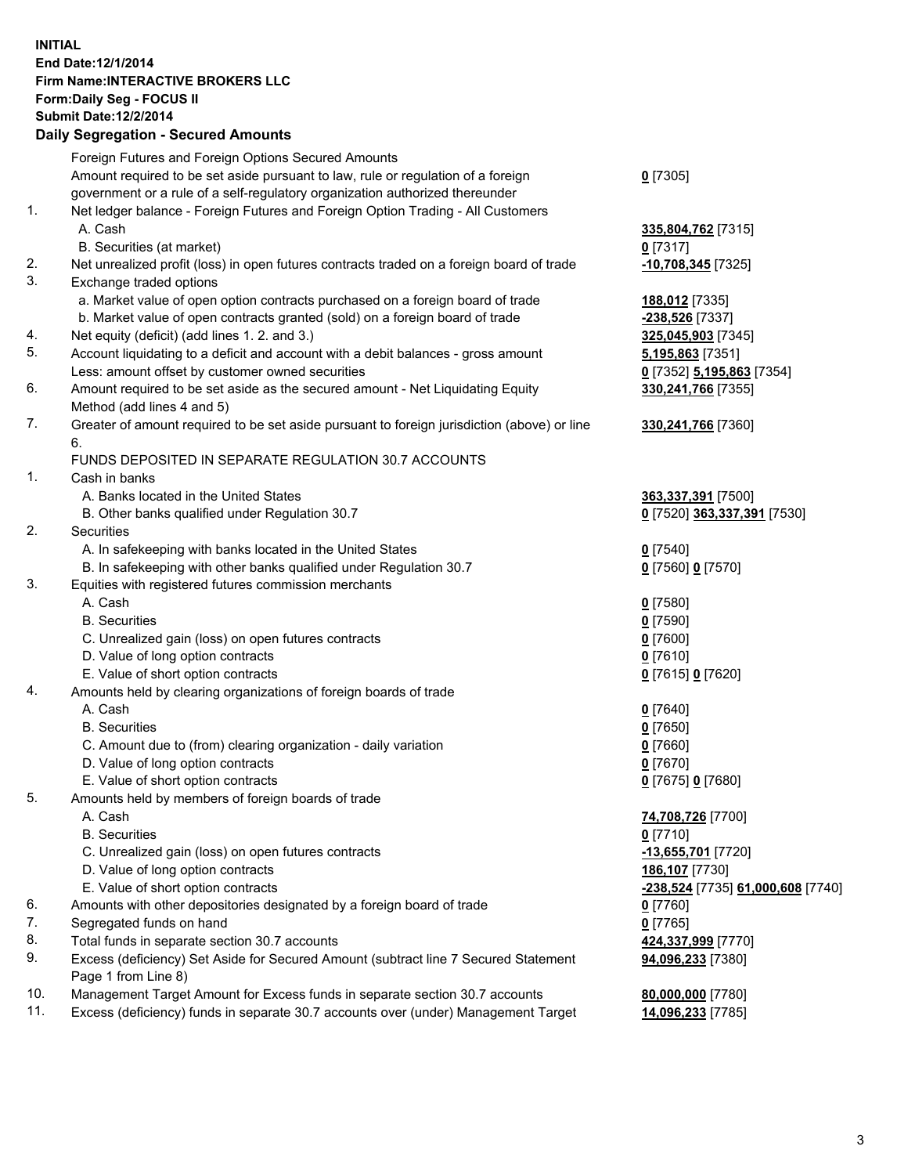## **INITIAL End Date:12/1/2014 Firm Name:INTERACTIVE BROKERS LLC Form:Daily Seg - FOCUS II Submit Date:12/2/2014 Daily Segregation - Secured Amounts**

|                | Daily Jegregation - Jeculed Aniounts                                                        |                                   |
|----------------|---------------------------------------------------------------------------------------------|-----------------------------------|
|                | Foreign Futures and Foreign Options Secured Amounts                                         |                                   |
|                | Amount required to be set aside pursuant to law, rule or regulation of a foreign            | $0$ [7305]                        |
|                | government or a rule of a self-regulatory organization authorized thereunder                |                                   |
| 1.             | Net ledger balance - Foreign Futures and Foreign Option Trading - All Customers             |                                   |
|                | A. Cash                                                                                     | 335,804,762 [7315]                |
|                | B. Securities (at market)                                                                   | $0$ [7317]                        |
| 2.             | Net unrealized profit (loss) in open futures contracts traded on a foreign board of trade   | -10,708,345 [7325]                |
| 3.             | Exchange traded options                                                                     |                                   |
|                | a. Market value of open option contracts purchased on a foreign board of trade              | 188,012 [7335]                    |
|                | b. Market value of open contracts granted (sold) on a foreign board of trade                | -238,526 [7337]                   |
| 4.             | Net equity (deficit) (add lines 1. 2. and 3.)                                               | 325,045,903 [7345]                |
| 5.             | Account liquidating to a deficit and account with a debit balances - gross amount           | 5,195,863 [7351]                  |
|                | Less: amount offset by customer owned securities                                            | 0 [7352] 5,195,863 [7354]         |
| 6.             | Amount required to be set aside as the secured amount - Net Liquidating Equity              | 330,241,766 [7355]                |
|                | Method (add lines 4 and 5)                                                                  |                                   |
| 7.             | Greater of amount required to be set aside pursuant to foreign jurisdiction (above) or line | 330,241,766 [7360]                |
|                | 6.                                                                                          |                                   |
|                | FUNDS DEPOSITED IN SEPARATE REGULATION 30.7 ACCOUNTS                                        |                                   |
| $\mathbf{1}$ . | Cash in banks                                                                               |                                   |
|                | A. Banks located in the United States                                                       | 363,337,391 [7500]                |
|                | B. Other banks qualified under Regulation 30.7                                              | 0 [7520] 363,337,391 [7530]       |
| 2.             | Securities                                                                                  |                                   |
|                | A. In safekeeping with banks located in the United States                                   | $0$ [7540]                        |
|                | B. In safekeeping with other banks qualified under Regulation 30.7                          | 0 [7560] 0 [7570]                 |
| 3.             | Equities with registered futures commission merchants                                       |                                   |
|                | A. Cash                                                                                     | $0$ [7580]                        |
|                | <b>B.</b> Securities                                                                        | $0$ [7590]                        |
|                | C. Unrealized gain (loss) on open futures contracts                                         | $0$ [7600]                        |
|                | D. Value of long option contracts                                                           | $0$ [7610]                        |
|                |                                                                                             |                                   |
| 4.             | E. Value of short option contracts                                                          | 0 [7615] 0 [7620]                 |
|                | Amounts held by clearing organizations of foreign boards of trade                           |                                   |
|                | A. Cash                                                                                     | $0$ [7640]                        |
|                | <b>B.</b> Securities                                                                        | $0$ [7650]                        |
|                | C. Amount due to (from) clearing organization - daily variation                             | $0$ [7660]                        |
|                | D. Value of long option contracts                                                           | $0$ [7670]                        |
|                | E. Value of short option contracts                                                          | 0 [7675] 0 [7680]                 |
| 5.             | Amounts held by members of foreign boards of trade                                          |                                   |
|                | A. Cash                                                                                     | 74,708,726 [7700]                 |
|                | <b>B.</b> Securities                                                                        | $0$ [7710]                        |
|                | C. Unrealized gain (loss) on open futures contracts                                         | -13,655,701 [7720]                |
|                | D. Value of long option contracts                                                           | 186,107 [7730]                    |
|                | E. Value of short option contracts                                                          | -238,524 [7735] 61,000,608 [7740] |
| 6.             | Amounts with other depositories designated by a foreign board of trade                      | $0$ [7760]                        |
| 7.             | Segregated funds on hand                                                                    | $0$ [7765]                        |
| 8.             | Total funds in separate section 30.7 accounts                                               | 424,337,999 [7770]                |
| 9.             | Excess (deficiency) Set Aside for Secured Amount (subtract line 7 Secured Statement         | 94,096,233 [7380]                 |
|                | Page 1 from Line 8)                                                                         |                                   |
| 10.            | Management Target Amount for Excess funds in separate section 30.7 accounts                 | 80,000,000 [7780]                 |
| 11.            | Excess (deficiency) funds in separate 30.7 accounts over (under) Management Target          | 14,096,233 [7785]                 |
|                |                                                                                             |                                   |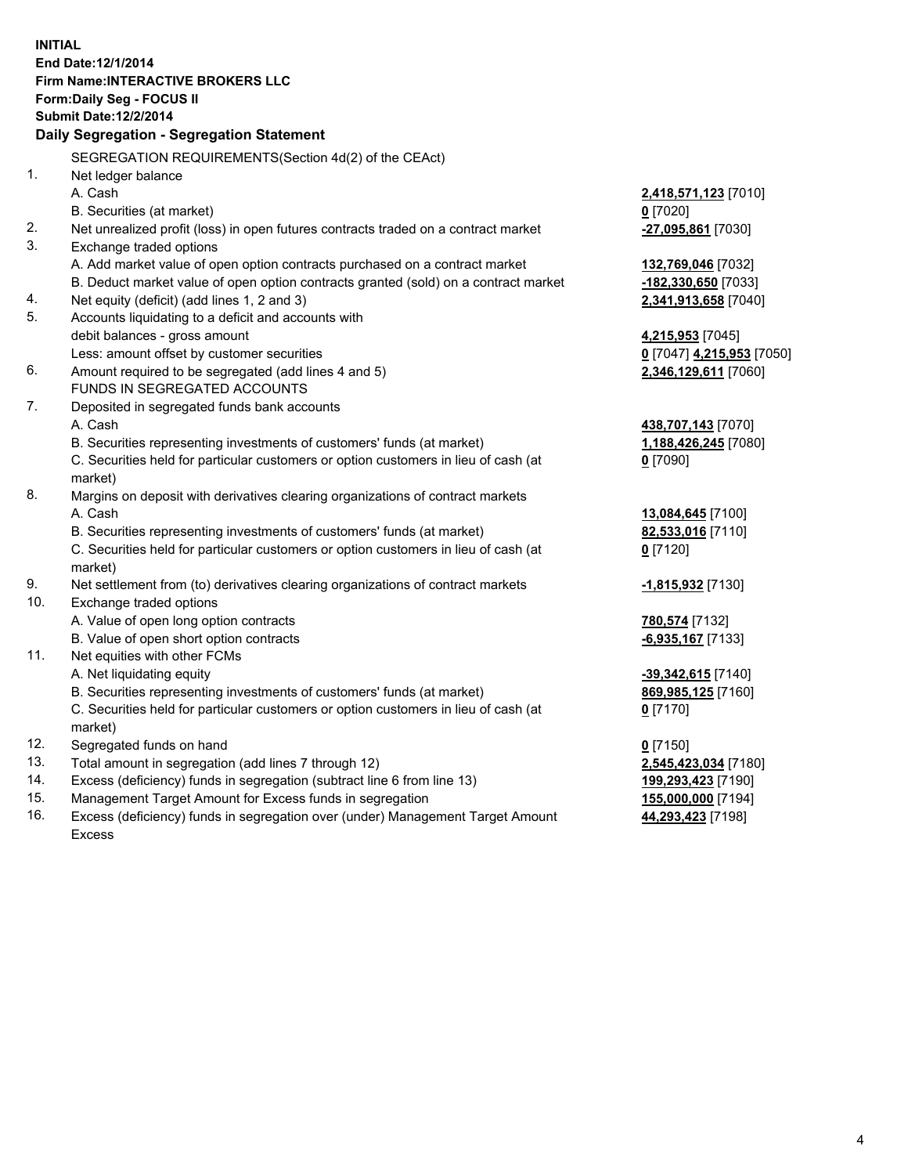**INITIAL End Date:12/1/2014 Firm Name:INTERACTIVE BROKERS LLC Form:Daily Seg - FOCUS II Submit Date:12/2/2014 Daily Segregation - Segregation Statement** SEGREGATION REQUIREMENTS(Section 4d(2) of the CEAct) 1. Net ledger balance A. Cash **2,418,571,123** [7010] B. Securities (at market) **0** [7020] 2. Net unrealized profit (loss) in open futures contracts traded on a contract market **-27,095,861** [7030] 3. Exchange traded options A. Add market value of open option contracts purchased on a contract market **132,769,046** [7032] B. Deduct market value of open option contracts granted (sold) on a contract market **-182,330,650** [7033] 4. Net equity (deficit) (add lines 1, 2 and 3) **2,341,913,658** [7040] 5. Accounts liquidating to a deficit and accounts with debit balances - gross amount **4,215,953** [7045] Less: amount offset by customer securities **0** [7047] **4,215,953** [7050] 6. Amount required to be segregated (add lines 4 and 5) **2,346,129,611** [7060] FUNDS IN SEGREGATED ACCOUNTS 7. Deposited in segregated funds bank accounts A. Cash **438,707,143** [7070] B. Securities representing investments of customers' funds (at market) **1,188,426,245** [7080] C. Securities held for particular customers or option customers in lieu of cash (at market) **0** [7090] 8. Margins on deposit with derivatives clearing organizations of contract markets A. Cash **13,084,645** [7100] B. Securities representing investments of customers' funds (at market) **82,533,016** [7110] C. Securities held for particular customers or option customers in lieu of cash (at market) **0** [7120] 9. Net settlement from (to) derivatives clearing organizations of contract markets **-1,815,932** [7130] 10. Exchange traded options A. Value of open long option contracts **780,574** [7132] B. Value of open short option contracts **-6,935,167** [7133] 11. Net equities with other FCMs A. Net liquidating equity **-39,342,615** [7140] B. Securities representing investments of customers' funds (at market) **869,985,125** [7160] C. Securities held for particular customers or option customers in lieu of cash (at market) **0** [7170] 12. Segregated funds on hand **0** [7150] 13. Total amount in segregation (add lines 7 through 12) **2,545,423,034** [7180] 14. Excess (deficiency) funds in segregation (subtract line 6 from line 13) **199,293,423** [7190] 15. Management Target Amount for Excess funds in segregation **155,000,000** [7194]

16. Excess (deficiency) funds in segregation over (under) Management Target Amount Excess

**44,293,423** [7198]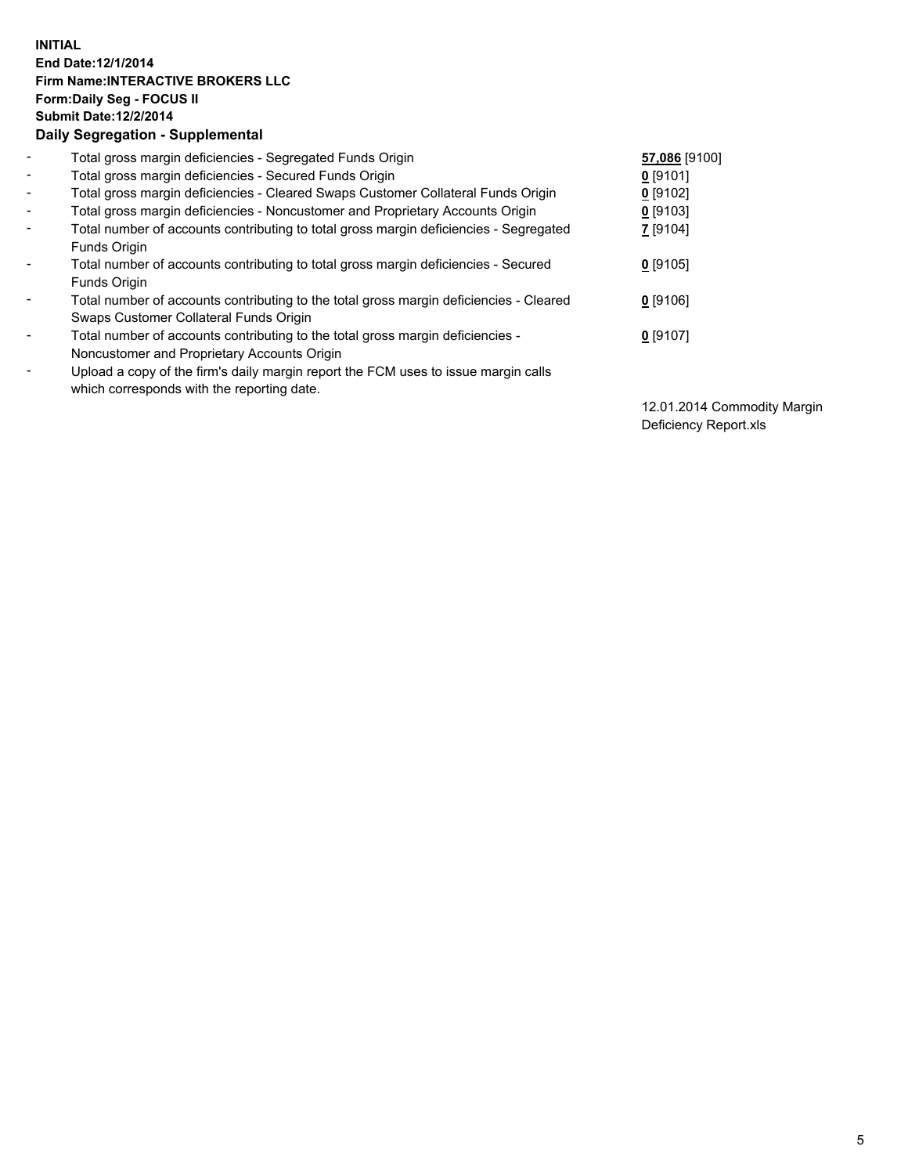## **INITIAL End Date:12/1/2014 Firm Name:INTERACTIVE BROKERS LLC Form:Daily Seg - FOCUS II Submit Date:12/2/2014 Daily Segregation - Supplemental**

| $\blacksquare$           | Total gross margin deficiencies - Segregated Funds Origin                              | 57,086 [9100]   |
|--------------------------|----------------------------------------------------------------------------------------|-----------------|
| $\blacksquare$           | Total gross margin deficiencies - Secured Funds Origin                                 | $0$ [9101]      |
| $\blacksquare$           | Total gross margin deficiencies - Cleared Swaps Customer Collateral Funds Origin       | $0$ [9102]      |
| $\blacksquare$           | Total gross margin deficiencies - Noncustomer and Proprietary Accounts Origin          | $0$ [9103]      |
| $\blacksquare$           | Total number of accounts contributing to total gross margin deficiencies - Segregated  | <b>7</b> [9104] |
|                          | Funds Origin                                                                           |                 |
| Ξ.                       | Total number of accounts contributing to total gross margin deficiencies - Secured     | $0$ [9105]      |
|                          | Funds Origin                                                                           |                 |
|                          | Total number of accounts contributing to the total gross margin deficiencies - Cleared | $0$ [9106]      |
|                          | Swaps Customer Collateral Funds Origin                                                 |                 |
| ۰                        | Total number of accounts contributing to the total gross margin deficiencies -         | $0$ [9107]      |
|                          | Noncustomer and Proprietary Accounts Origin                                            |                 |
| $\overline{\phantom{a}}$ | Upload a copy of the firm's daily margin report the FCM uses to issue margin calls     |                 |
|                          | which corresponds with the reporting date.                                             |                 |

12.01.2014 Commodity Margin Deficiency Report.xls